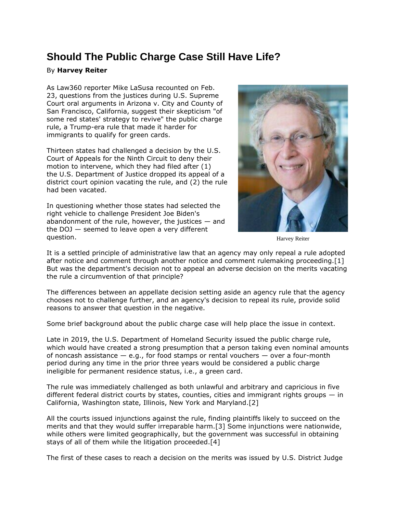## **Should The Public Charge Case Still Have Life?**

## By **Harvey Reiter**

As Law360 reporter Mike LaSusa [recounted on Feb.](https://www.law360.com/appellate/articles/1467659)  [23,](https://www.law360.com/appellate/articles/1467659) questions from the justices during [U.S. Supreme](https://www.law360.com/agencies/u-s-supreme-court)  [Court](https://www.law360.com/agencies/u-s-supreme-court) oral arguments in Arizona v. City and County of San Francisco, California, suggest their skepticism "of some red states' strategy to revive" the public charge rule, a Trump-era rule that made it harder for immigrants to qualify for green cards.

Thirteen states had challenged a decision by the [U.S.](https://www.law360.com/agencies/u-s-court-of-appeals-for-the-ninth-circuit)  [Court of Appeals for the Ninth Circuit](https://www.law360.com/agencies/u-s-court-of-appeals-for-the-ninth-circuit) to deny their motion to intervene, which they had filed after (1) the [U.S. Department of Justice](https://www.law360.com/agencies/u-s-department-of-justice) dropped its appeal of a district court opinion vacating the rule, and (2) the rule had been vacated.

In questioning whether those states had selected the right vehicle to challenge President Joe Biden's abandonment of the rule, however, the justices  $-$  and the DOJ — seemed to leave open a very different question.



Harvey Reiter

It is a settled principle of administrative law that an agency may only repeal a rule adopted after notice and comment through another notice and comment rulemaking proceeding.[1] But was the department's decision not to appeal an adverse decision on the merits vacating the rule a circumvention of that principle?

The differences between an appellate decision setting aside an agency rule that the agency chooses not to challenge further, and an agency's decision to repeal its rule, provide solid reasons to answer that question in the negative.

Some brief background about the public charge case will help place the issue in context.

Late in 2019, the [U.S. Department of Homeland Security](https://www.law360.com/agencies/u-s-department-of-homeland-security) issued the public charge rule, which would have created a strong presumption that a person taking even nominal amounts of noncash assistance  $-$  e.g., for food stamps or rental vouchers  $-$  over a four-month period during any time in the prior three years would be considered a public charge ineligible for permanent residence status, i.e., a green card.

The rule was immediately challenged as both unlawful and arbitrary and capricious in five different federal district courts by states, counties, cities and immigrant rights groups — in California, Washington state, Illinois, New York and Maryland.[2]

All the courts issued injunctions against the rule, finding plaintiffs likely to succeed on the merits and that they would suffer irreparable harm.[3] Some injunctions were nationwide, while others were limited geographically, but the government was successful in obtaining stays of all of them while the litigation proceeded.[4]

The first of these cases to reach a decision on the merits was issued by U.S. District Judge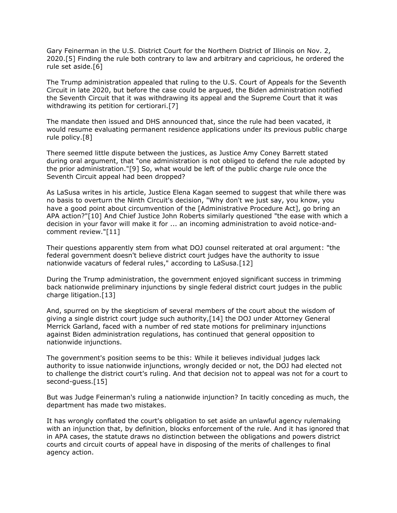Gary Feinerman in the [U.S. District Court for the Northern District of Illinois](https://www.law360.com/agencies/u-s-district-court-for-the-northern-district-of-illinois) on Nov. 2, 2020.[5] Finding the rule both contrary to law and arbitrary and capricious, he ordered the rule set aside.[6]

The Trump administration appealed that ruling to the [U.S. Court of Appeals for the Seventh](https://www.law360.com/agencies/u-s-court-of-appeals-for-the-seventh-circuit)  [Circuit](https://www.law360.com/agencies/u-s-court-of-appeals-for-the-seventh-circuit) in late 2020, but before the case could be argued, the Biden administration notified the Seventh Circuit that it was withdrawing its appeal and the Supreme Court that it was withdrawing its petition for certiorari.[7]

The mandate then issued and DHS announced that, since the rule had been vacated, it would resume evaluating permanent residence applications under its previous public charge rule policy.[8]

There seemed little dispute between the justices, as Justice Amy Coney Barrett stated during oral argument, that "one administration is not obliged to defend the rule adopted by the prior administration."[9] So, what would be left of the public charge rule once the Seventh Circuit appeal had been dropped?

As LaSusa writes in his article, Justice Elena Kagan seemed to suggest that while there was no basis to overturn the Ninth Circuit's decision, "Why don't we just say, you know, you have a good point about circumvention of the [Administrative Procedure Act], go bring an APA action?"[10] And Chief Justice John Roberts similarly questioned "the ease with which a decision in your favor will make it for ... an incoming administration to avoid notice-andcomment review."[11]

Their questions apparently stem from what DOJ counsel reiterated at oral argument: "the federal government doesn't believe district court judges have the authority to issue nationwide vacaturs of federal rules," according to LaSusa.[12]

During the Trump administration, the government enjoyed significant success in trimming back nationwide preliminary injunctions by single federal district court judges in the public charge litigation.[13]

And, spurred on by the skepticism of several members of the court about the wisdom of giving a single district court judge such authority,[14] the DOJ under Attorney General Merrick Garland, faced with a number of red state motions for preliminary injunctions against Biden administration regulations, has continued that general opposition to nationwide injunctions.

The government's position seems to be this: While it believes individual judges lack authority to issue nationwide injunctions, wrongly decided or not, the DOJ had elected not to challenge the district court's ruling. And that decision not to appeal was not for a court to second-guess.[15]

But was Judge Feinerman's ruling a nationwide injunction? In tacitly conceding as much, the department has made two mistakes.

It has wrongly conflated the court's obligation to set aside an unlawful agency rulemaking with an injunction that, by definition, blocks enforcement of the rule. And it has ignored that in APA cases, the statute draws no distinction between the obligations and powers district courts and circuit courts of appeal have in disposing of the merits of challenges to final agency action.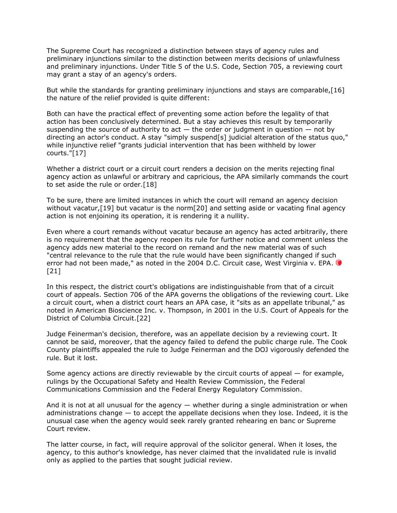The Supreme Court has recognized a distinction between stays of agency rules and preliminary injunctions similar to the distinction between merits decisions of unlawfulness and preliminary injunctions. Under Title 5 of the U.S. Code, Section 705, a reviewing court may grant a stay of an agency's orders.

But while the standards for granting preliminary injunctions and stays are comparable,[16] the nature of the relief provided is quite different:

Both can have the practical effect of preventing some action before the legality of that action has been conclusively determined. But a stay achieves this result by temporarily suspending the source of authority to act  $-$  the order or judgment in question  $-$  not by directing an actor's conduct. A stay "simply suspend[s] judicial alteration of the status quo," while injunctive relief "grants judicial intervention that has been withheld by lower courts."[17]

Whether a district court or a circuit court renders a decision on the merits rejecting final agency action as unlawful or arbitrary and capricious, the APA similarly commands the court to set aside the rule or order.[18]

To be sure, there are limited instances in which the court will remand an agency decision without vacatur, [19] but vacatur is the norm [20] and setting aside or vacating final agency action is not enjoining its operation, it is rendering it a nullity.

Even where a court remands without vacatur because an agency has acted arbitrarily, there is no requirement that the agency reopen its rule for further notice and comment unless the agency adds new material to the record on remand and the new material was of such "central relevance to the rule that the rule would have been significantly changed if such error had not been made," as noted in the 2004 D.C. Circuit case, West Virginia v. EP[A.](https://advance.lexis.com/api/search?q=2004%20U.S.%20App.%20LEXIS%206939&qlang=bool&origination=law360&internalOrigination=article_id%3D1469672%3Bcitation%3D2004%20U.S.%20App.%20LEXIS%206939&originationDetail=headline%3DShould%20The%20Public%20Charge%20Case%20Still%20Have%20Life%3F&) [21]

In this respect, the district court's obligations are indistinguishable from that of a circuit court of appeals. Section 706 of the APA governs the obligations of the reviewing court. Like a circuit court, when a district court hears an APA case, it "sits as an appellate tribunal," as noted in American Bioscience Inc. v. Thompson, in 2001 in the [U.S. Court of Appeals for the](https://www.law360.com/agencies/u-s-court-of-appeals-for-the-district-of-columbia-circuit)  [District of Columbia Circuit.](https://www.law360.com/agencies/u-s-court-of-appeals-for-the-district-of-columbia-circuit)[22]

Judge Feinerman's decision, therefore, was an appellate decision by a reviewing court. It cannot be said, moreover, that the agency failed to defend the public charge rule. The Cook County plaintiffs appealed the rule to Judge Feinerman and the DOJ vigorously defended the rule. But it lost.

Some agency actions are directly reviewable by the circuit courts of appeal — for example, rulings by the [Occupational Safety and Health Review Commission,](https://www.law360.com/agencies/occupational-safety-and-health-review-commission) the [Federal](https://www.law360.com/agencies/federal-communications-commission)  [Communications Commission](https://www.law360.com/agencies/federal-communications-commission) and the [Federal Energy Regulatory Commission.](https://www.law360.com/agencies/federal-energy-regulatory-commission)

And it is not at all unusual for the agency  $-$  whether during a single administration or when administrations change — to accept the appellate decisions when they lose. Indeed, it is the unusual case when the agency would seek rarely granted rehearing en banc or Supreme Court review.

The latter course, in fact, will require approval of the solicitor general. When it loses, the agency, to this author's knowledge, has never claimed that the invalidated rule is invalid only as applied to the parties that sought judicial review.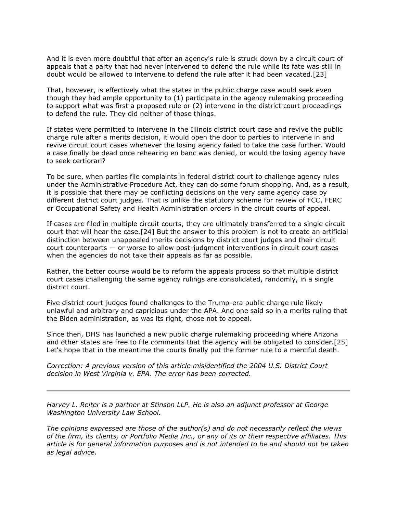And it is even more doubtful that after an agency's rule is struck down by a circuit court of appeals that a party that had never intervened to defend the rule while its fate was still in doubt would be allowed to intervene to defend the rule after it had been vacated.[23]

That, however, is effectively what the states in the public charge case would seek even though they had ample opportunity to (1) participate in the agency rulemaking proceeding to support what was first a proposed rule or (2) intervene in the district court proceedings to defend the rule. They did neither of those things.

If states were permitted to intervene in the Illinois district court case and revive the public charge rule after a merits decision, it would open the door to parties to intervene in and revive circuit court cases whenever the losing agency failed to take the case further. Would a case finally be dead once rehearing en banc was denied, or would the losing agency have to seek certiorari?

To be sure, when parties file complaints in federal district court to challenge agency rules under the Administrative Procedure Act, they can do some forum shopping. And, as a result, it is possible that there may be conflicting decisions on the very same agency case by different district court judges. That is unlike the statutory scheme for review of FCC, FERC or [Occupational Safety and Health Administration](https://www.law360.com/agencies/occupational-safety-and-health-administration) orders in the circuit courts of appeal.

If cases are filed in multiple circuit courts, they are ultimately transferred to a single circuit court that will hear the case.[24] But the answer to this problem is not to create an artificial distinction between unappealed merits decisions by district court judges and their circuit court counterparts — or worse to allow post-judgment interventions in circuit court cases when the agencies do not take their appeals as far as possible.

Rather, the better course would be to reform the appeals process so that multiple district court cases challenging the same agency rulings are consolidated, randomly, in a single district court.

Five district court judges found challenges to the Trump-era public charge rule likely unlawful and arbitrary and capricious under the APA. And one said so in a merits ruling that the Biden administration, as was its right, chose not to appeal.

Since then, DHS has launched a new public charge rulemaking proceeding where Arizona and other states are free to file comments that the agency will be obligated to consider.[25] Let's hope that in the meantime the courts finally put the former rule to a merciful death.

*Correction: A previous version of this article misidentified the 2004 U.S. District Court decision in West Virginia v. EPA. The error has been corrected.*

*[Harvey L. Reiter](https://www.stinson.com/people-HarveyReiter) is a partner at [Stinson LLP.](https://www.law360.com/firms/stinson-llp) He is also an adjunct professor at [George](https://www.law360.com/companies/george-washington-university)  [Washington University Law School.](https://www.law360.com/companies/george-washington-university)*

*The opinions expressed are those of the author(s) and do not necessarily reflect the views of the firm, its clients, or Portfolio Media Inc., or any of its or their respective affiliates. This article is for general information purposes and is not intended to be and should not be taken as legal advice.*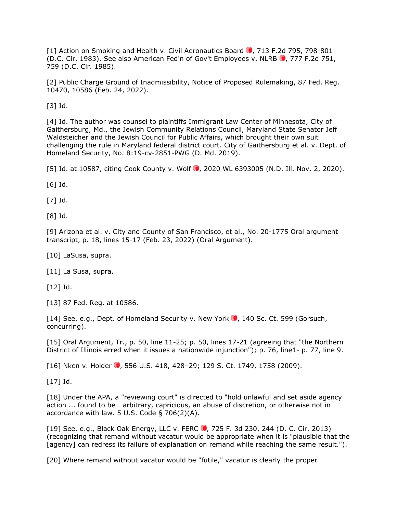[1] [Action on Smoking and Health v. Civil Aeronautics Board](https://advance.lexis.com/api/search?q=1983%20U.S.%20App.%20LEXIS%2026261&qlang=bool&origination=law360&internalOrigination=article_id%3D1469672%3Bcitation%3D1983%20U.S.%20App.%20LEXIS%2026261&originationDetail=headline%3DShould%20The%20Public%20Charge%20Case%20Still%20Have%20Life%3F&) 0[,](https://advance.lexis.com/api/search?q=1983%20U.S.%20App.%20LEXIS%2026261&qlang=bool&origination=law360&internalOrigination=article_id%3D1469672%3Bcitation%3D1983%20U.S.%20App.%20LEXIS%2026261&originationDetail=headline%3DShould%20The%20Public%20Charge%20Case%20Still%20Have%20Life%3F&) 713 F.2d 795, 798-801 (D.C. Cir. 1983). See also [American Fed'n of Gov't Employees v. NLRB](https://advance.lexis.com/api/search?q=1985%20U.S.%20App.%20LEXIS%2023764&qlang=bool&origination=law360&internalOrigination=article_id%3D1469672%3Bcitation%3D1985%20U.S.%20App.%20LEXIS%2023764&originationDetail=headline%3DShould%20The%20Public%20Charge%20Case%20Still%20Have%20Life%3F&) (0[,](https://advance.lexis.com/api/search?q=1985%20U.S.%20App.%20LEXIS%2023764&qlang=bool&origination=law360&internalOrigination=article_id%3D1469672%3Bcitation%3D1985%20U.S.%20App.%20LEXIS%2023764&originationDetail=headline%3DShould%20The%20Public%20Charge%20Case%20Still%20Have%20Life%3F&) 777 F.2d 751, 759 (D.C. Cir. 1985).

[2] Public Charge Ground of Inadmissibility, Notice of Proposed Rulemaking, 87 Fed. Reg. 10470, 10586 (Feb. 24, 2022).

[3] Id.

[4] Id. The author was counsel to plaintiffs Immigrant Law Center of Minnesota, City of Gaithersburg, Md., the Jewish Community Relations Council, Maryland State Senator Jeff Waldsteicher and the Jewish Council for Public Affairs, which brought their own suit challenging the rule in Maryland federal district court. City of Gaithersburg et al. v. Dept. of Homeland Security, No. 8:19-cv-2851-PWG (D. Md. 2019).

[5] Id. at 10587, citing [Cook County v. Wolf](https://advance.lexis.com/api/search?q=2020%20U.S.%20Dist.%20LEXIS%20203434&qlang=bool&origination=law360&internalOrigination=article_id%3D1469672%3Bcitation%3D2020%20U.S.%20Dist.%20LEXIS%20203434&originationDetail=headline%3DShould%20The%20Public%20Charge%20Case%20Still%20Have%20Life%3F&)  $\bullet$ [,](https://advance.lexis.com/api/search?q=2020%20U.S.%20Dist.%20LEXIS%20203434&qlang=bool&origination=law360&internalOrigination=article_id%3D1469672%3Bcitation%3D2020%20U.S.%20Dist.%20LEXIS%20203434&originationDetail=headline%3DShould%20The%20Public%20Charge%20Case%20Still%20Have%20Life%3F&) 2020 WL 6393005 (N.D. Ill. Nov. 2, 2020).

[6] Id.

[7] Id.

[8] Id.

[9] Arizona et al. v. City and County of San Francisco, et al., No. 20-1775 Oral argument transcript, p. 18, lines 15-17 (Feb. 23, 2022) (Oral Argument).

[10] LaSusa, supra.

[11] La Susa, supra.

 $[12]$  Id.

[13] 87 Fed. Reg. at 10586.

[14] See, e.g., [Dept. of Homeland Security v. New York](https://advance.lexis.com/api/search?q=2020%20U.S.%20LEXIS%20813&qlang=bool&origination=law360&internalOrigination=article_id%3D1469672%3Bcitation%3D2020%20U.S.%20LEXIS%20813&originationDetail=headline%3DShould%20The%20Public%20Charge%20Case%20Still%20Have%20Life%3F&)  $\bullet$ [,](https://advance.lexis.com/api/search?q=2020%20U.S.%20LEXIS%20813&qlang=bool&origination=law360&internalOrigination=article_id%3D1469672%3Bcitation%3D2020%20U.S.%20LEXIS%20813&originationDetail=headline%3DShould%20The%20Public%20Charge%20Case%20Still%20Have%20Life%3F&) 140 Sc. Ct. 599 (Gorsuch, concurring).

[15] Oral Argument, Tr., p. 50, line 11-25; p. 50, lines 17-21 (agreeing that "the Northern District of Illinois erred when it issues a nationwide injunction"); p. 76, line1- p. 77, line 9.

[16] [Nken v. Holder](https://advance.lexis.com/api/search?q=2009%20U.S.%20LEXIS%203121&qlang=bool&origination=law360&internalOrigination=article_id%3D1469672%3Bcitation%3D2009%20U.S.%20LEXIS%203121&originationDetail=headline%3DShould%20The%20Public%20Charge%20Case%20Still%20Have%20Life%3F&)  $\bullet$ [,](https://advance.lexis.com/api/search?q=2009%20U.S.%20LEXIS%203121&qlang=bool&origination=law360&internalOrigination=article_id%3D1469672%3Bcitation%3D2009%20U.S.%20LEXIS%203121&originationDetail=headline%3DShould%20The%20Public%20Charge%20Case%20Still%20Have%20Life%3F&) 556 U.S. 418, 428–29; 129 S. Ct. 1749, 1758 (2009).

[17] Id.

[18] Under the APA, a "reviewing court" is directed to "hold unlawful and set aside agency action ... found to be… arbitrary, capricious, an abuse of discretion, or otherwise not in accordance with law. 5 U.S. Code § 706(2)(A).

[19] See, e.g., [Black Oak Energy, LLC v. FERC](https://advance.lexis.com/api/search?q=2013%20U.S.%20App.%20LEXIS%2016201&qlang=bool&origination=law360&internalOrigination=article_id%3D1469672%3Bcitation%3D2013%20U.S.%20App.%20LEXIS%2016201&originationDetail=headline%3DShould%20The%20Public%20Charge%20Case%20Still%20Have%20Life%3F&) (0[,](https://advance.lexis.com/api/search?q=2013%20U.S.%20App.%20LEXIS%2016201&qlang=bool&origination=law360&internalOrigination=article_id%3D1469672%3Bcitation%3D2013%20U.S.%20App.%20LEXIS%2016201&originationDetail=headline%3DShould%20The%20Public%20Charge%20Case%20Still%20Have%20Life%3F&) 725 F. 3d 230, 244 (D. C. Cir. 2013) (recognizing that remand without vacatur would be appropriate when it is "plausible that the [agency] can redress its failure of explanation on remand while reaching the same result.").

[20] Where remand without vacatur would be "futile," vacatur is clearly the proper